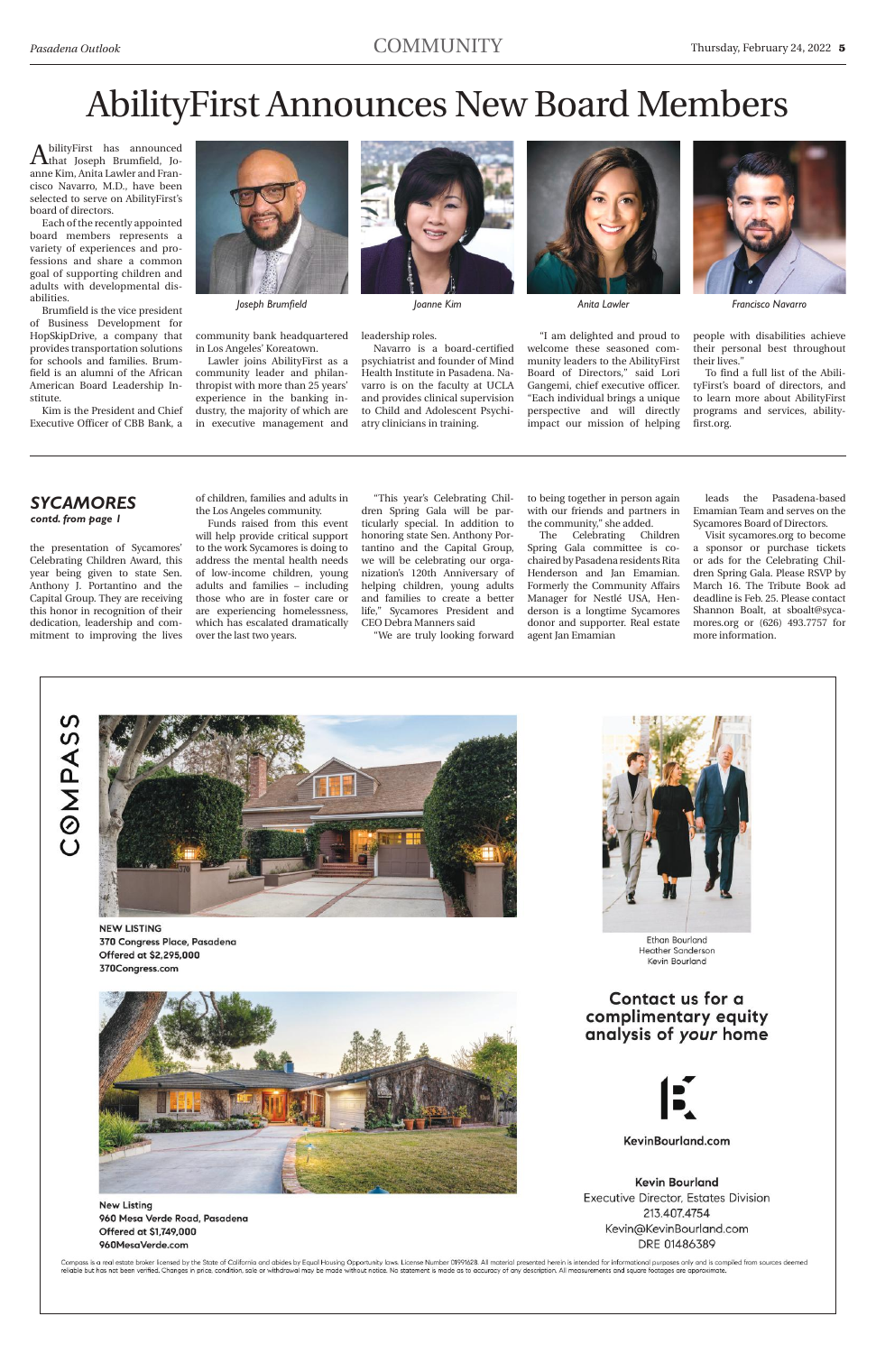AbilityFirst has announced<br>Athat Joseph Brumfield, Joanne Kim, Anita Lawler and Francisco Navarro, M.D., have been selected to serve on AbilityFirst's board of directors.

Each of the recently appointed board members represents a variety of experiences and professions and share a common goal of supporting children and adults with developmental disabilities.

Brumfield is the vice president of Business Development for HopSkipDrive, a company that provides transportation solutions for schools and families. Brumfield is an alumni of the African American Board Leadership Institute.

Kim is the President and Chief Executive Officer of CBB Bank, a



community bank headquartered in Los Angeles' Koreatown.

Lawler joins AbilityFirst as a community leader and philanthropist with more than 25 years' experience in the banking industry, the majority of which are in executive management and



#### leadership roles.

Navarro is a board-certified psychiatrist and founder of Mind Health Institute in Pasadena. Navarro is on the faculty at UCLA and provides clinical supervision to Child and Adolescent Psychiatry clinicians in training.



"I am delighted and proud to welcome these seasoned community leaders to the AbilityFirst Board of Directors," said Lori Gangemi, chief executive officer. "Each individual brings a unique perspective and will directly impact our mission of helping

people with disabilities achieve their personal best throughout their lives."

To find a full list of the AbilityFirst's board of directors, and to learn more about AbilityFirst programs and services, abilityfirst.org.

## AbilityFirst Announces New Board Members

*Joseph Brumfield Joanne Kim Anita Lawler Francisco Navarro*

the presentation of Sycamores' Celebrating Children Award, this year being given to state Sen. Anthony J. Portantino and the Capital Group. They are receiving this honor in recognition of their dedication, leadership and commitment to improving the lives

of children, families and adults in the Los Angeles community.

Funds raised from this event will help provide critical support to the work Sycamores is doing to address the mental health needs of low-income children, young adults and families – including those who are in foster care or are experiencing homelessness, which has escalated dramatically over the last two years.

"This year's Celebrating Children Spring Gala will be particularly special. In addition to honoring state Sen. Anthony Portantino and the Capital Group, we will be celebrating our organization's 120th Anniversary of helping children, young adults and families to create a better life," Sycamores President and CEO Debra Manners said

"We are truly looking forward

to being together in person again with our friends and partners in the community," she added.

The Celebrating Children Spring Gala committee is cochaired by Pasadena residents Rita Henderson and Jan Emamian. Formerly the Community Affairs Manager for Nestlé USA, Henderson is a longtime Sycamores donor and supporter. Real estate agent Jan Emamian

leads the Pasadena-based Emamian Team and serves on the Sycamores Board of Directors.

Visit sycamores.org to become a sponsor or purchase tickets or ads for the Celebrating Children Spring Gala. Please RSVP by March 16. The Tribute Book ad deadline is Feb. 25. Please contact Shannon Boalt, at sboalt@sycamores.org or (626) 493.7757 for more information.





**NEW LISTING** 370 Congress Place, Pasadena Offered at \$2,295,000 370Congress.com





**New Listing** 960 Mesa Verde Road, Pasadena Offered at \$1,749,000 960MesaVerde.com

Contact us for a complimentary equity analysis of your home



KevinBourland.com

**Kevin Bourland Executive Director, Estates Division** 213.407.4754 Kevin@KevinBourland.com DRE 01486389

Compass is a real estate broker licensed by the State of California and abides by Equal Housing Opportunity laws. License Number 01991628. All material presented herein is intended for informational purposes only and is co reliable but has not been verified. Changes in price, condition, sale or withdrawal may be made without notice. No statement is made as to accuracy of any description. All measurements and square footages are approximat

#### *sycamores contd. from page 1*